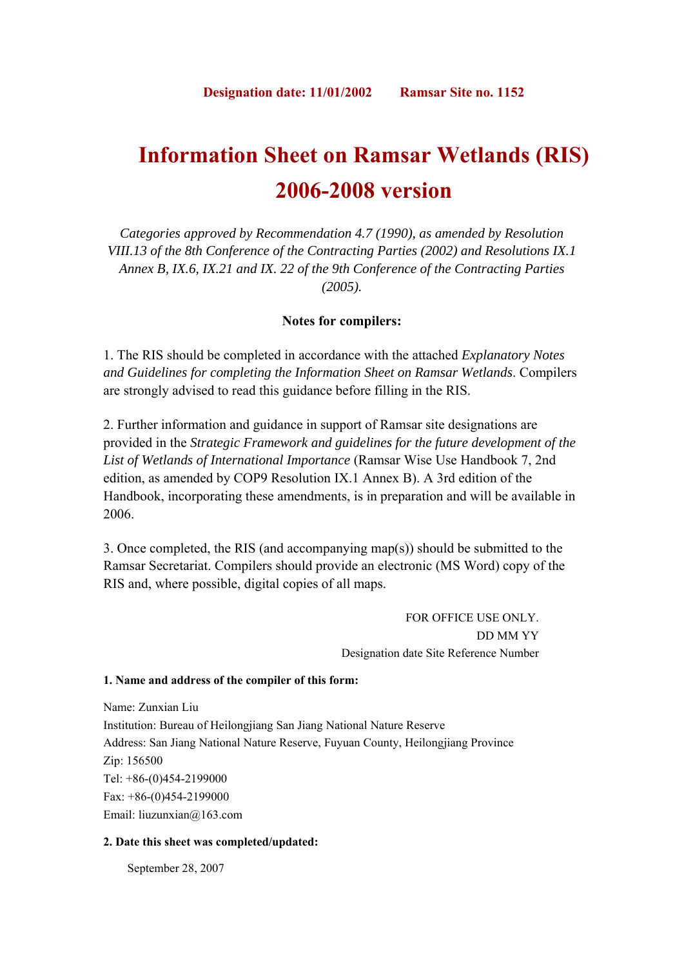# **Information Sheet on Ramsar Wetlands (RIS) 2006-2008 version**

*Categories approved by Recommendation 4.7 (1990), as amended by Resolution VIII.13 of the 8th Conference of the Contracting Parties (2002) and Resolutions IX.1 Annex B, IX.6, IX.21 and IX. 22 of the 9th Conference of the Contracting Parties (2005).*

# **Notes for compilers:**

1. The RIS should be completed in accordance with the attached *Explanatory Notes and Guidelines for completing the Information Sheet on Ramsar Wetlands*. Compilers are strongly advised to read this guidance before filling in the RIS.

2. Further information and guidance in support of Ramsar site designations are provided in the *Strategic Framework and guidelines for the future development of the List of Wetlands of International Importance* (Ramsar Wise Use Handbook 7, 2nd edition, as amended by COP9 Resolution IX.1 Annex B). A 3rd edition of the Handbook, incorporating these amendments, is in preparation and will be available in 2006.

3. Once completed, the RIS (and accompanying map(s)) should be submitted to the Ramsar Secretariat. Compilers should provide an electronic (MS Word) copy of the RIS and, where possible, digital copies of all maps.

> FOR OFFICE USE ONLY. DD MM YY Designation date Site Reference Number

## **1. Name and address of the compiler of this form:**

Name: Zunxian Liu Institution: Bureau of Heilongjiang San Jiang National Nature Reserve Address: San Jiang National Nature Reserve, Fuyuan County, Heilongjiang Province Zip: 156500 Tel: +86-(0)454-2199000 Fax: +86-(0)454-2199000 Email: liuzunxian@163.com

## **2. Date this sheet was completed/updated:**

September 28, 2007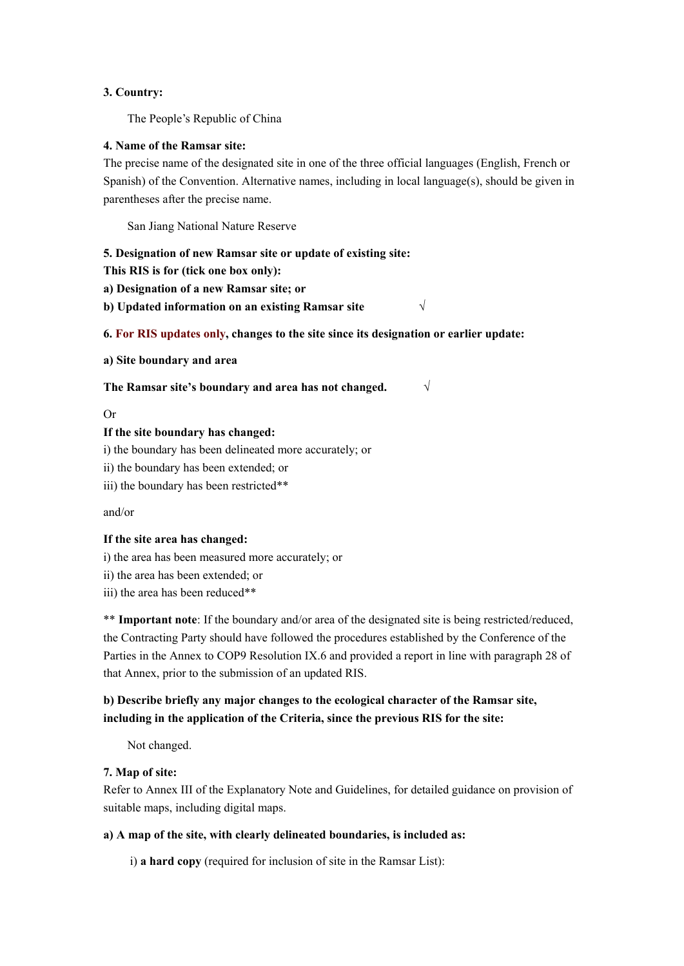## **3. Country:**

The People's Republic of China

## **4. Name of the Ramsar site:**

The precise name of the designated site in one of the three official languages (English, French or Spanish) of the Convention. Alternative names, including in local language(s), should be given in parentheses after the precise name.

San Jiang National Nature Reserve

## **5. Designation of new Ramsar site or update of existing site:**

**This RIS is for (tick one box only):** 

**a) Designation of a new Ramsar site; or** 

**b) Updated information on an existing Ramsar site √**

## **6. For RIS updates only, changes to the site since its designation or earlier update:**

**a) Site boundary and area** 

**The Ramsar site's boundary and area has not changed. √**

## Or

## **If the site boundary has changed:**

i) the boundary has been delineated more accurately; or

ii) the boundary has been extended; or

iii) the boundary has been restricted\*\*

and/or

## **If the site area has changed:**

i) the area has been measured more accurately; or

ii) the area has been extended; or

iii) the area has been reduced\*\*

\*\* **Important note**: If the boundary and/or area of the designated site is being restricted/reduced, the Contracting Party should have followed the procedures established by the Conference of the Parties in the Annex to COP9 Resolution IX.6 and provided a report in line with paragraph 28 of that Annex, prior to the submission of an updated RIS.

# **b) Describe briefly any major changes to the ecological character of the Ramsar site, including in the application of the Criteria, since the previous RIS for the site:**

Not changed.

## **7. Map of site:**

Refer to Annex III of the Explanatory Note and Guidelines, for detailed guidance on provision of suitable maps, including digital maps.

# **a) A map of the site, with clearly delineated boundaries, is included as:**

i) **a hard copy** (required for inclusion of site in the Ramsar List):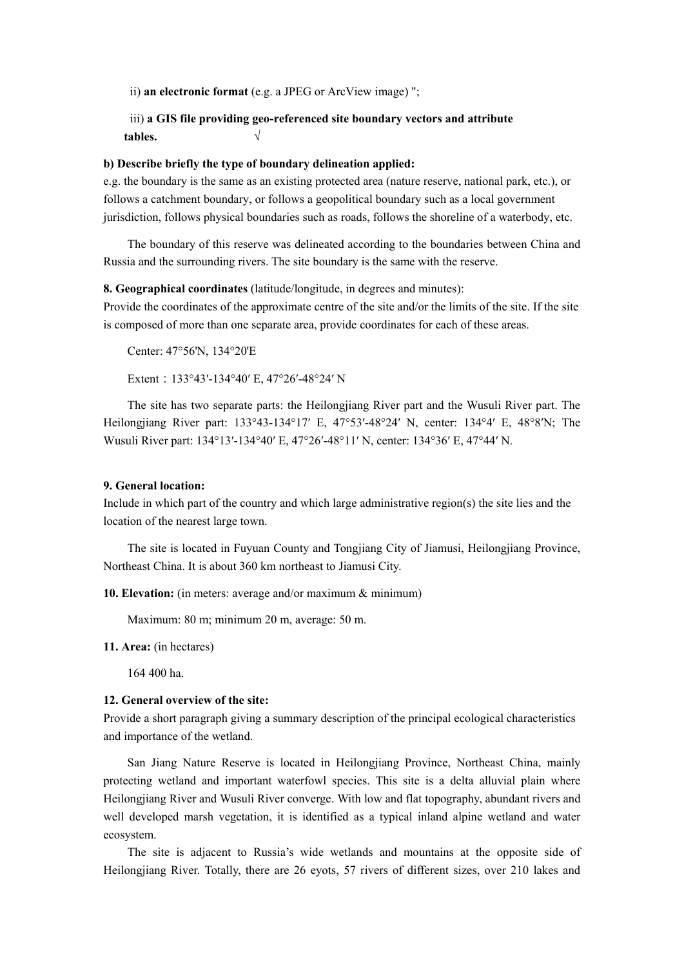ii) **an electronic format** (e.g. a JPEG or ArcView image) ";

# iii) **a GIS file providing geo-referenced site boundary vectors and attribute tables. √**

## **b) Describe briefly the type of boundary delineation applied:**

e.g. the boundary is the same as an existing protected area (nature reserve, national park, etc.), or follows a catchment boundary, or follows a geopolitical boundary such as a local government jurisdiction, follows physical boundaries such as roads, follows the shoreline of a waterbody, etc.

The boundary of this reserve was delineated according to the boundaries between China and Russia and the surrounding rivers. The site boundary is the same with the reserve.

## **8. Geographical coordinates** (latitude/longitude, in degrees and minutes):

Provide the coordinates of the approximate centre of the site and/or the limits of the site. If the site is composed of more than one separate area, provide coordinates for each of these areas.

Center: 47°56'N, 134°20'E

Extent:133°43′-134°40′ E, 47°26′-48°24′ N

The site has two separate parts: the Heilongjiang River part and the Wusuli River part. The Heilongjiang River part: 133°43-134°17′ E, 47°53′-48°24′ N, center: 134°4′ E, 48°8′N; The Wusuli River part: 134°13′-134°40′ E, 47°26′-48°11′ N, center: 134°36′ E, 47°44′ N.

#### **9. General location:**

Include in which part of the country and which large administrative region(s) the site lies and the location of the nearest large town.

The site is located in Fuyuan County and Tongjiang City of Jiamusi, Heilongjiang Province, Northeast China. It is about 360 km northeast to Jiamusi City.

**10. Elevation:** (in meters: average and/or maximum & minimum)

Maximum: 80 m; minimum 20 m, average: 50 m.

**11. Area:** (in hectares)

164 400 ha.

## **12. General overview of the site:**

Provide a short paragraph giving a summary description of the principal ecological characteristics and importance of the wetland.

San Jiang Nature Reserve is located in Heilongjiang Province, Northeast China, mainly protecting wetland and important waterfowl species. This site is a delta alluvial plain where Heilongjiang River and Wusuli River converge. With low and flat topography, abundant rivers and well developed marsh vegetation, it is identified as a typical inland alpine wetland and water ecosystem.

The site is adjacent to Russia's wide wetlands and mountains at the opposite side of Heilongjiang River. Totally, there are 26 eyots, 57 rivers of different sizes, over 210 lakes and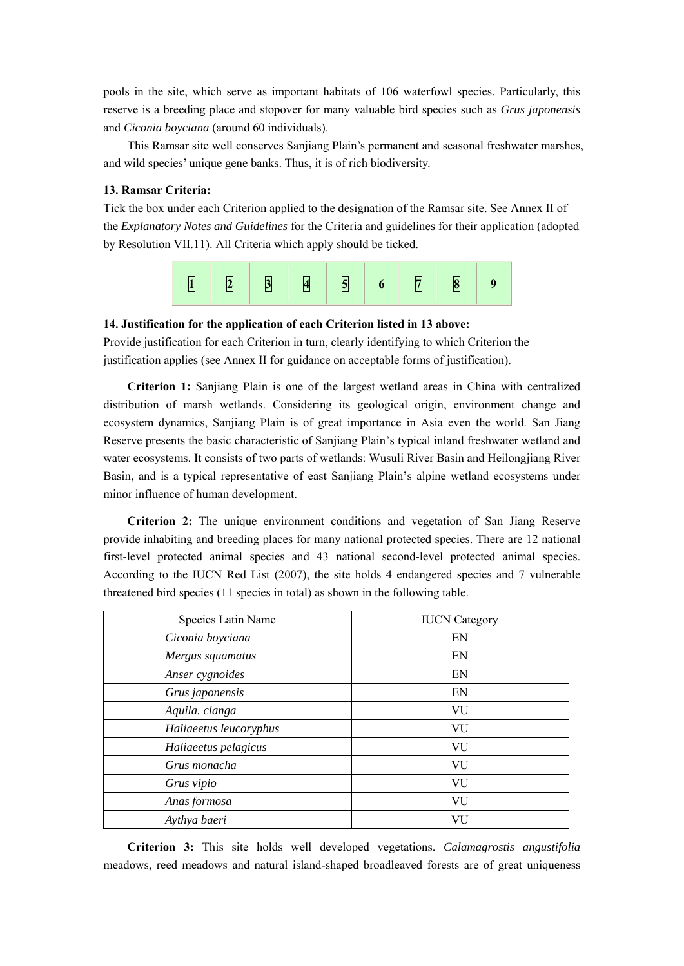pools in the site, which serve as important habitats of 106 waterfowl species. Particularly, this reserve is a breeding place and stopover for many valuable bird species such as *Grus japonensis* and *Ciconia boyciana* (around 60 individuals).

This Ramsar site well conserves Sanjiang Plain's permanent and seasonal freshwater marshes, and wild species' unique gene banks. Thus, it is of rich biodiversity.

## **13. Ramsar Criteria:**

Tick the box under each Criterion applied to the designation of the Ramsar site. See Annex II of the *Explanatory Notes and Guidelines* for the Criteria and guidelines for their application (adopted by Resolution VII.11). All Criteria which apply should be ticked.



## **14. Justification for the application of each Criterion listed in 13 above:**

Provide justification for each Criterion in turn, clearly identifying to which Criterion the justification applies (see Annex II for guidance on acceptable forms of justification).

**Criterion 1:** Sanjiang Plain is one of the largest wetland areas in China with centralized distribution of marsh wetlands. Considering its geological origin, environment change and ecosystem dynamics, Sanjiang Plain is of great importance in Asia even the world. San Jiang Reserve presents the basic characteristic of Sanjiang Plain's typical inland freshwater wetland and water ecosystems. It consists of two parts of wetlands: Wusuli River Basin and Heilongjiang River Basin, and is a typical representative of east Sanjiang Plain's alpine wetland ecosystems under minor influence of human development.

**Criterion 2:** The unique environment conditions and vegetation of San Jiang Reserve provide inhabiting and breeding places for many national protected species. There are 12 national first-level protected animal species and 43 national second-level protected animal species. According to the IUCN Red List (2007), the site holds 4 endangered species and 7 vulnerable threatened bird species (11 species in total) as shown in the following table.

| Species Latin Name     | <b>IUCN</b> Category |
|------------------------|----------------------|
| Ciconia boyciana       | EN                   |
| Mergus squamatus       | EN                   |
| Anser cygnoides        | EN                   |
| Grus japonensis        | EN                   |
| Aquila. clanga         | VU                   |
| Haliaeetus leucoryphus | VU                   |
| Haliaeetus pelagicus   | VU                   |
| Grus monacha           | VU                   |
| Grus vipio             | VU                   |
| Anas formosa           | VU                   |
| Aythya baeri           | VU                   |

**Criterion 3:** This site holds well developed vegetations. *Calamagrostis angustifolia*  meadows, reed meadows and natural island-shaped broadleaved forests are of great uniqueness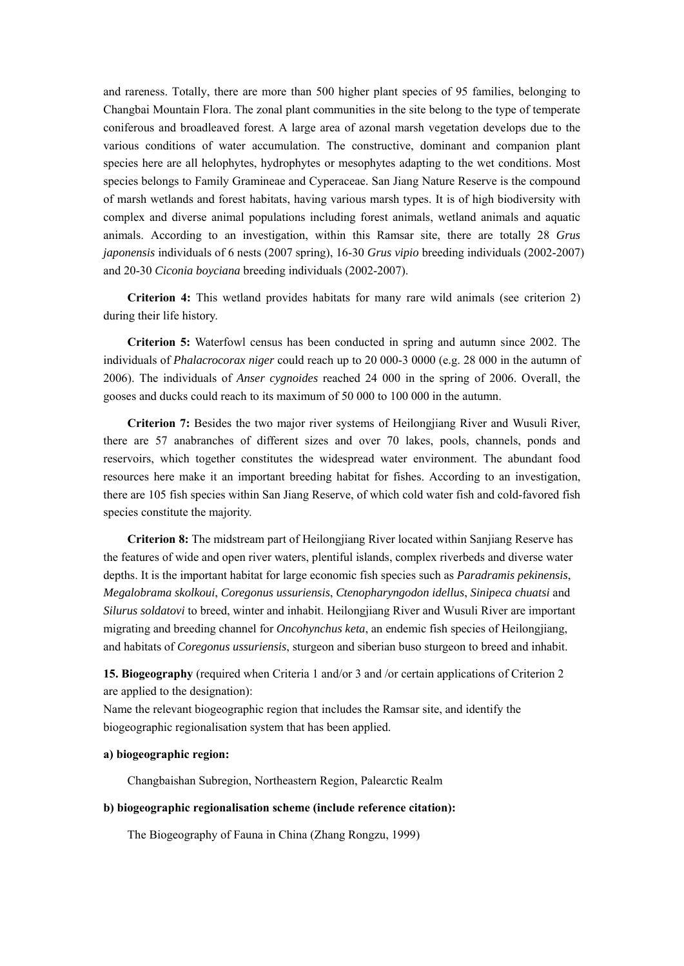and rareness. Totally, there are more than 500 higher plant species of 95 families, belonging to Changbai Mountain Flora. The zonal plant communities in the site belong to the type of temperate coniferous and broadleaved forest. A large area of azonal marsh vegetation develops due to the various conditions of water accumulation. The constructive, dominant and companion plant species here are all helophytes, hydrophytes or mesophytes adapting to the wet conditions. Most species belongs to Family Gramineae and Cyperaceae. San Jiang Nature Reserve is the compound of marsh wetlands and forest habitats, having various marsh types. It is of high biodiversity with complex and diverse animal populations including forest animals, wetland animals and aquatic animals. According to an investigation, within this Ramsar site, there are totally 28 *Grus japonensis* individuals of 6 nests (2007 spring), 16-30 *Grus vipio* breeding individuals (2002-2007) and 20-30 *Ciconia boyciana* breeding individuals (2002-2007).

**Criterion 4:** This wetland provides habitats for many rare wild animals (see criterion 2) during their life history.

**Criterion 5:** Waterfowl census has been conducted in spring and autumn since 2002. The individuals of *Phalacrocorax niger* could reach up to 20 000-3 0000 (e.g. 28 000 in the autumn of 2006). The individuals of *Anser cygnoides* reached 24 000 in the spring of 2006. Overall, the gooses and ducks could reach to its maximum of 50 000 to 100 000 in the autumn.

**Criterion 7:** Besides the two major river systems of Heilongjiang River and Wusuli River, there are 57 anabranches of different sizes and over 70 lakes, pools, channels, ponds and reservoirs, which together constitutes the widespread water environment. The abundant food resources here make it an important breeding habitat for fishes. According to an investigation, there are 105 fish species within San Jiang Reserve, of which cold water fish and cold-favored fish species constitute the majority.

**Criterion 8:** The midstream part of Heilongjiang River located within Sanjiang Reserve has the features of wide and open river waters, plentiful islands, complex riverbeds and diverse water depths. It is the important habitat for large economic fish species such as *Paradramis pekinensis*, *Megalobrama skolkoui*, *Coregonus ussuriensis*, *Ctenopharyngodon idellus*, *Sinipeca chuatsi* and *Silurus soldatovi* to breed, winter and inhabit. Heilongjiang River and Wusuli River are important migrating and breeding channel for *Oncohynchus keta*, an endemic fish species of Heilongjiang, and habitats of *Coregonus ussuriensis*, sturgeon and siberian buso sturgeon to breed and inhabit.

**15. Biogeography** (required when Criteria 1 and/or 3 and /or certain applications of Criterion 2 are applied to the designation):

Name the relevant biogeographic region that includes the Ramsar site, and identify the biogeographic regionalisation system that has been applied.

## **a) biogeographic region:**

Changbaishan Subregion, Northeastern Region, Palearctic Realm

#### **b) biogeographic regionalisation scheme (include reference citation):**

The Biogeography of Fauna in China (Zhang Rongzu, 1999)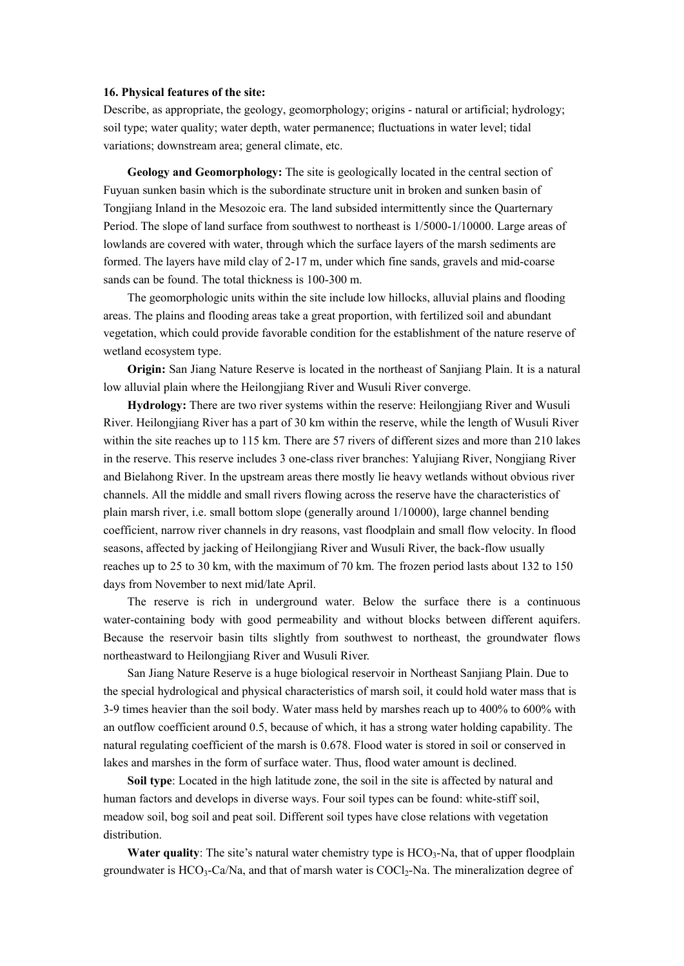#### **16. Physical features of the site:**

Describe, as appropriate, the geology, geomorphology; origins - natural or artificial; hydrology; soil type; water quality; water depth, water permanence; fluctuations in water level; tidal variations; downstream area; general climate, etc.

**Geology and Geomorphology:** The site is geologically located in the central section of Fuyuan sunken basin which is the subordinate structure unit in broken and sunken basin of Tongjiang Inland in the Mesozoic era. The land subsided intermittently since the Quarternary Period. The slope of land surface from southwest to northeast is 1/5000-1/10000. Large areas of lowlands are covered with water, through which the surface layers of the marsh sediments are formed. The layers have mild clay of 2-17 m, under which fine sands, gravels and mid-coarse sands can be found. The total thickness is 100-300 m.

The geomorphologic units within the site include low hillocks, alluvial plains and flooding areas. The plains and flooding areas take a great proportion, with fertilized soil and abundant vegetation, which could provide favorable condition for the establishment of the nature reserve of wetland ecosystem type.

**Origin:** San Jiang Nature Reserve is located in the northeast of Sanjiang Plain. It is a natural low alluvial plain where the Heilongjiang River and Wusuli River converge.

**Hydrology:** There are two river systems within the reserve: Heilongjiang River and Wusuli River. Heilongjiang River has a part of 30 km within the reserve, while the length of Wusuli River within the site reaches up to 115 km. There are 57 rivers of different sizes and more than 210 lakes in the reserve. This reserve includes 3 one-class river branches: Yalujiang River, Nongjiang River and Bielahong River. In the upstream areas there mostly lie heavy wetlands without obvious river channels. All the middle and small rivers flowing across the reserve have the characteristics of plain marsh river, i.e. small bottom slope (generally around 1/10000), large channel bending coefficient, narrow river channels in dry reasons, vast floodplain and small flow velocity. In flood seasons, affected by jacking of Heilongjiang River and Wusuli River, the back-flow usually reaches up to 25 to 30 km, with the maximum of 70 km. The frozen period lasts about 132 to 150 days from November to next mid/late April.

The reserve is rich in underground water. Below the surface there is a continuous water-containing body with good permeability and without blocks between different aquifers. Because the reservoir basin tilts slightly from southwest to northeast, the groundwater flows northeastward to Heilongjiang River and Wusuli River.

San Jiang Nature Reserve is a huge biological reservoir in Northeast Sanjiang Plain. Due to the special hydrological and physical characteristics of marsh soil, it could hold water mass that is 3-9 times heavier than the soil body. Water mass held by marshes reach up to 400% to 600% with an outflow coefficient around 0.5, because of which, it has a strong water holding capability. The natural regulating coefficient of the marsh is 0.678. Flood water is stored in soil or conserved in lakes and marshes in the form of surface water. Thus, flood water amount is declined.

**Soil type**: Located in the high latitude zone, the soil in the site is affected by natural and human factors and develops in diverse ways. Four soil types can be found: white-stiff soil, meadow soil, bog soil and peat soil. Different soil types have close relations with vegetation distribution.

**Water quality**: The site's natural water chemistry type is HCO<sub>3</sub>-Na, that of upper floodplain groundwater is  $HCO<sub>3</sub>-Ca/Na$ , and that of marsh water is  $COCl<sub>2</sub>-Na$ . The mineralization degree of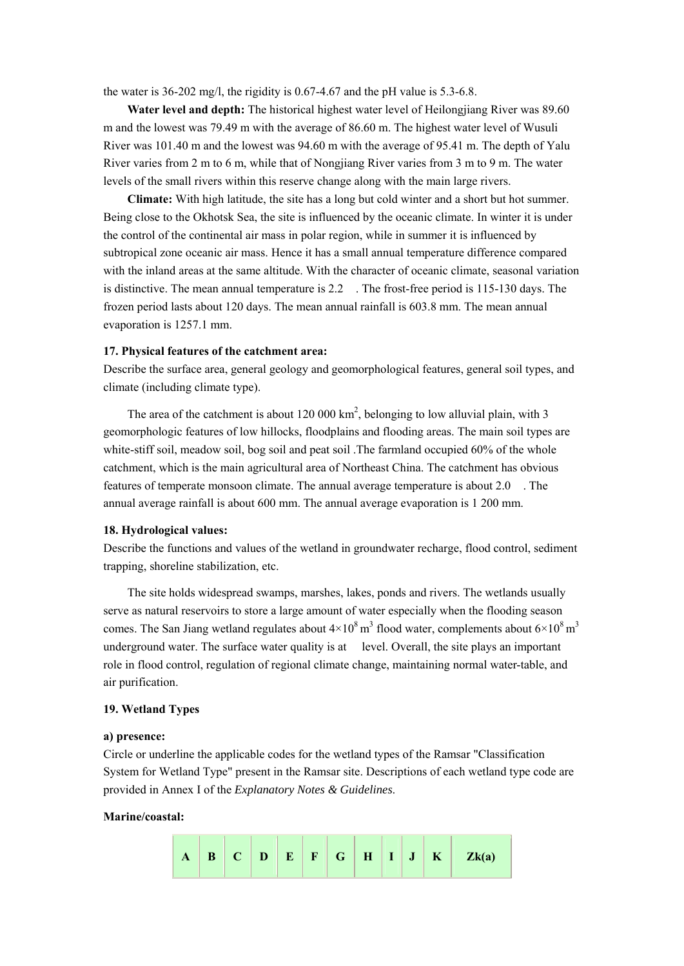the water is 36-202 mg/l, the rigidity is 0.67-4.67 and the pH value is 5.3-6.8.

**Water level and depth:** The historical highest water level of Heilongjiang River was 89.60 m and the lowest was 79.49 m with the average of 86.60 m. The highest water level of Wusuli River was 101.40 m and the lowest was 94.60 m with the average of 95.41 m. The depth of Yalu River varies from 2 m to 6 m, while that of Nongjiang River varies from 3 m to 9 m. The water levels of the small rivers within this reserve change along with the main large rivers.

**Climate:** With high latitude, the site has a long but cold winter and a short but hot summer. Being close to the Okhotsk Sea, the site is influenced by the oceanic climate. In winter it is under the control of the continental air mass in polar region, while in summer it is influenced by subtropical zone oceanic air mass. Hence it has a small annual temperature difference compared with the inland areas at the same altitude. With the character of oceanic climate, seasonal variation is distinctive. The mean annual temperature is 2.2 . The frost-free period is 115-130 days. The frozen period lasts about 120 days. The mean annual rainfall is 603.8 mm. The mean annual evaporation is 1257.1 mm.

## **17. Physical features of the catchment area:**

Describe the surface area, general geology and geomorphological features, general soil types, and climate (including climate type).

The area of the catchment is about  $120\ 000\ \text{km}^2$ , belonging to low alluvial plain, with 3 geomorphologic features of low hillocks, floodplains and flooding areas. The main soil types are white-stiff soil, meadow soil, bog soil and peat soil. The farmland occupied 60% of the whole catchment, which is the main agricultural area of Northeast China. The catchment has obvious features of temperate monsoon climate. The annual average temperature is about 2.0 . The annual average rainfall is about 600 mm. The annual average evaporation is 1 200 mm.

#### **18. Hydrological values:**

Describe the functions and values of the wetland in groundwater recharge, flood control, sediment trapping, shoreline stabilization, etc.

The site holds widespread swamps, marshes, lakes, ponds and rivers. The wetlands usually serve as natural reservoirs to store a large amount of water especially when the flooding season comes. The San Jiang wetland regulates about  $4\times10^8$  m<sup>3</sup> flood water, complements about  $6\times10^8$  m<sup>3</sup> underground water. The surface water quality is at level. Overall, the site plays an important role in flood control, regulation of regional climate change, maintaining normal water-table, and air purification.

## **19. Wetland Types**

#### **a) presence:**

Circle or underline the applicable codes for the wetland types of the Ramsar "Classification System for Wetland Type" present in the Ramsar site. Descriptions of each wetland type code are provided in Annex I of the *Explanatory Notes & Guidelines*.

#### **Marine/coastal:**

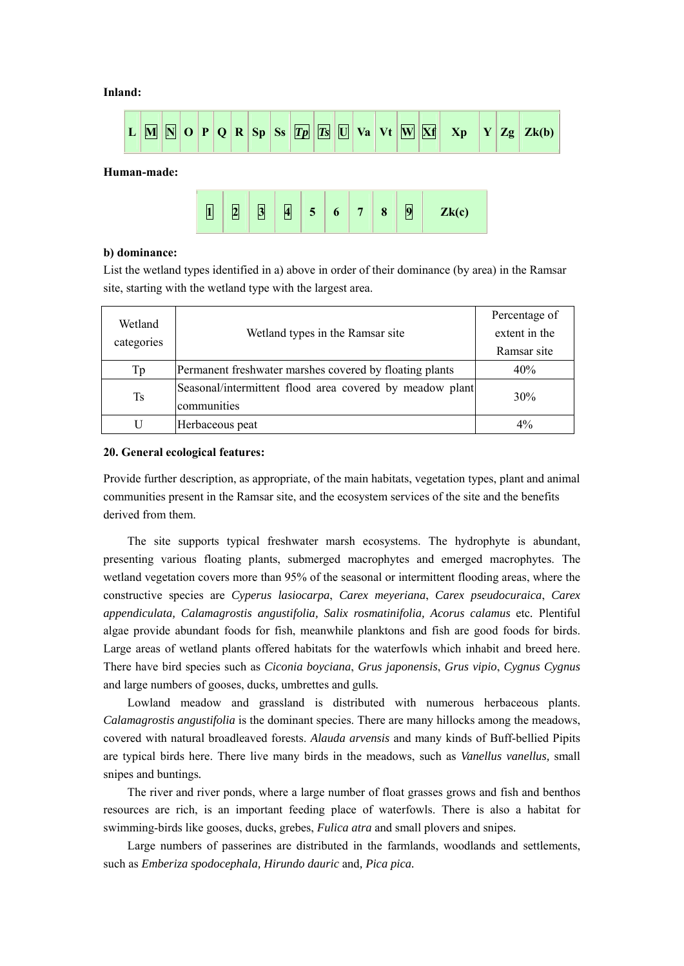## **Inland:**





## **b) dominance:**

List the wetland types identified in a) above in order of their dominance (by area) in the Ramsar site, starting with the wetland type with the largest area.

| Wetland    | Wetland types in the Ramsar site                                        | Percentage of<br>extent in the |
|------------|-------------------------------------------------------------------------|--------------------------------|
| categories |                                                                         | Ramsar site                    |
|            |                                                                         |                                |
| Тp         | Permanent freshwater marshes covered by floating plants                 | 40%                            |
| <b>Ts</b>  | Seasonal/intermittent flood area covered by meadow plant<br>communities | 30%                            |
|            | Herbaceous peat                                                         | $4\%$                          |

#### **20. General ecological features:**

Provide further description, as appropriate, of the main habitats, vegetation types, plant and animal communities present in the Ramsar site, and the ecosystem services of the site and the benefits derived from them.

The site supports typical freshwater marsh ecosystems. The hydrophyte is abundant, presenting various floating plants, submerged macrophytes and emerged macrophytes. The wetland vegetation covers more than 95% of the seasonal or intermittent flooding areas, where the constructive species are *Cyperus lasiocarpa*, *Carex meyeriana*, *Carex pseudocuraica*, *Carex appendiculata, Calamagrostis angustifolia, Salix rosmatinifolia, Acorus calamus* etc*.* Plentiful algae provide abundant foods for fish, meanwhile planktons and fish are good foods for birds. Large areas of wetland plants offered habitats for the waterfowls which inhabit and breed here. There have bird species such as *Ciconia boyciana*, *Grus japonensis*, *Grus vipio*, *Cygnus Cygnus* and large numbers of gooses, ducks*,* umbrettes and gulls*.* 

Lowland meadow and grassland is distributed with numerous herbaceous plants. *Calamagrostis angustifolia* is the dominant species. There are many hillocks among the meadows, covered with natural broadleaved forests. *Alauda arvensis* and many kinds of Buff-bellied Pipits are typical birds here. There live many birds in the meadows, such as *Vanellus vanellus,* small snipes and buntings*.*

The river and river ponds, where a large number of float grasses grows and fish and benthos resources are rich, is an important feeding place of waterfowls. There is also a habitat for swimming-birds like gooses, ducks, grebes, *Fulica atra* and small plovers and snipes*.*

Large numbers of passerines are distributed in the farmlands, woodlands and settlements, such as *Emberiza spodocephala, Hirundo dauric* and*, Pica pica.*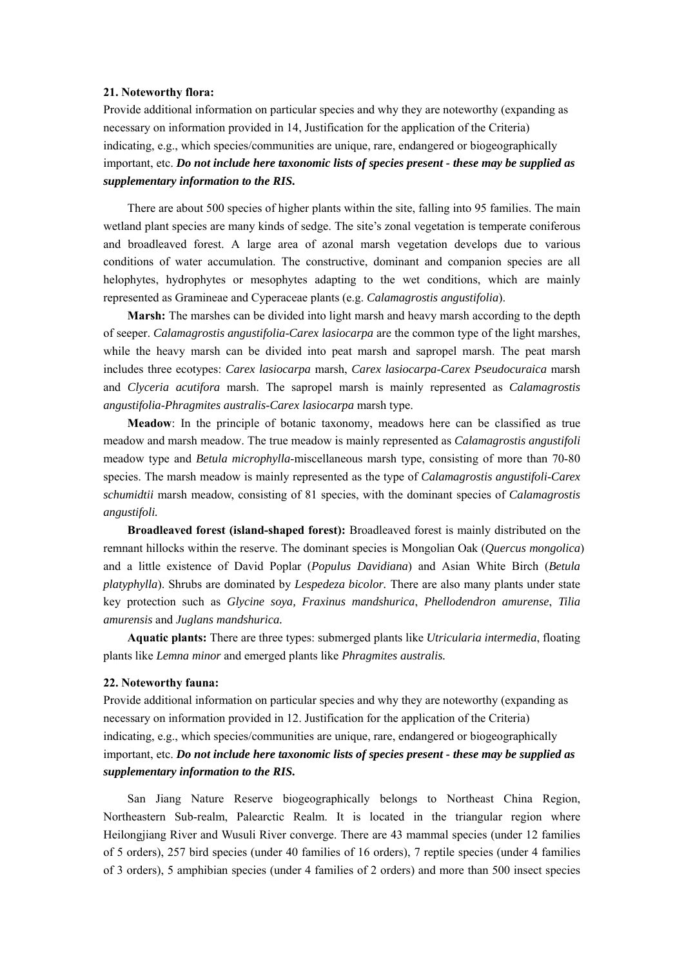#### **21. Noteworthy flora:**

Provide additional information on particular species and why they are noteworthy (expanding as necessary on information provided in 14, Justification for the application of the Criteria) indicating, e.g., which species/communities are unique, rare, endangered or biogeographically important, etc. *Do not include here taxonomic lists of species present - these may be supplied as supplementary information to the RIS.* 

There are about 500 species of higher plants within the site, falling into 95 families. The main wetland plant species are many kinds of sedge. The site's zonal vegetation is temperate coniferous and broadleaved forest. A large area of azonal marsh vegetation develops due to various conditions of water accumulation. The constructive, dominant and companion species are all helophytes, hydrophytes or mesophytes adapting to the wet conditions, which are mainly represented as Gramineae and Cyperaceae plants (e.g. *Calamagrostis angustifolia*).

**Marsh:** The marshes can be divided into light marsh and heavy marsh according to the depth of seeper. *Calamagrostis angustifolia*-*Carex lasiocarpa* are the common type of the light marshes, while the heavy marsh can be divided into peat marsh and sapropel marsh. The peat marsh includes three ecotypes: *Carex lasiocarpa* marsh, *Carex lasiocarpa*-*Carex Pseudocuraica* marsh and *Clyceria acutifora* marsh. The sapropel marsh is mainly represented as *Calamagrostis angustifolia*-*Phragmites australis*-*Carex lasiocarpa* marsh type.

**Meadow**: In the principle of botanic taxonomy, meadows here can be classified as true meadow and marsh meadow. The true meadow is mainly represented as *Calamagrostis angustifoli*  meadow type and *Betula microphylla*-miscellaneous marsh type, consisting of more than 70-80 species. The marsh meadow is mainly represented as the type of *Calamagrostis angustifoli*-*Carex schumidtii* marsh meadow, consisting of 81 species, with the dominant species of *Calamagrostis angustifoli.* 

**Broadleaved forest (island-shaped forest):** Broadleaved forest is mainly distributed on the remnant hillocks within the reserve. The dominant species is Mongolian Oak (*Quercus mongolica*) and a little existence of David Poplar (*Populus Davidiana*) and Asian White Birch (*Betula platyphylla*). Shrubs are dominated by *Lespedeza bicolor.* There are also many plants under state key protection such as *Glycine soya, Fraxinus mandshurica*, *Phellodendron amurense*, *Tilia amurensis* and *Juglans mandshurica.*

**Aquatic plants:** There are three types: submerged plants like *Utricularia intermedia*, floating plants like *Lemna minor* and emerged plants like *Phragmites australis.* 

#### **22. Noteworthy fauna:**

Provide additional information on particular species and why they are noteworthy (expanding as necessary on information provided in 12. Justification for the application of the Criteria) indicating, e.g., which species/communities are unique, rare, endangered or biogeographically important, etc. *Do not include here taxonomic lists of species present - these may be supplied as supplementary information to the RIS.* 

San Jiang Nature Reserve biogeographically belongs to Northeast China Region, Northeastern Sub-realm, Palearctic Realm. It is located in the triangular region where Heilongjiang River and Wusuli River converge. There are 43 mammal species (under 12 families of 5 orders), 257 bird species (under 40 families of 16 orders), 7 reptile species (under 4 families of 3 orders), 5 amphibian species (under 4 families of 2 orders) and more than 500 insect species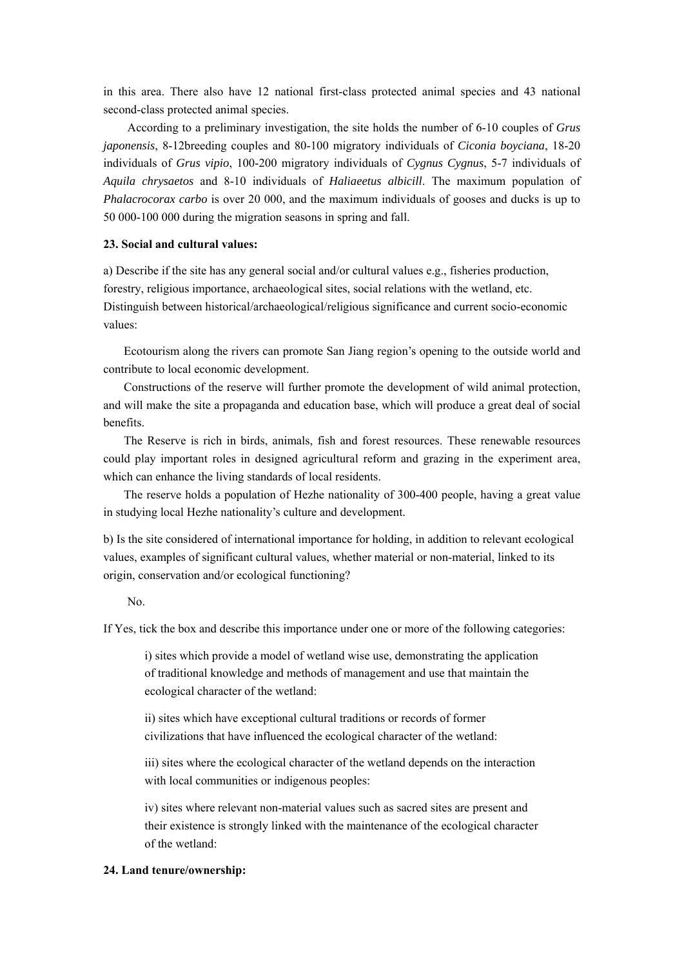in this area. There also have 12 national first-class protected animal species and 43 national second-class protected animal species.

According to a preliminary investigation, the site holds the number of 6-10 couples of *Grus japonensis*, 8-12breeding couples and 80-100 migratory individuals of *Ciconia boyciana*, 18-20 individuals of *Grus vipio*, 100-200 migratory individuals of *Cygnus Cygnus*, 5-7 individuals of *Aquila chrysaetos* and 8-10 individuals of *Haliaeetus albicill*. The maximum population of *Phalacrocorax carbo* is over 20 000, and the maximum individuals of gooses and ducks is up to 50 000-100 000 during the migration seasons in spring and fall.

## **23. Social and cultural values:**

a) Describe if the site has any general social and/or cultural values e.g., fisheries production, forestry, religious importance, archaeological sites, social relations with the wetland, etc. Distinguish between historical/archaeological/religious significance and current socio-economic values:

Ecotourism along the rivers can promote San Jiang region's opening to the outside world and contribute to local economic development.

Constructions of the reserve will further promote the development of wild animal protection, and will make the site a propaganda and education base, which will produce a great deal of social benefits.

The Reserve is rich in birds, animals, fish and forest resources. These renewable resources could play important roles in designed agricultural reform and grazing in the experiment area, which can enhance the living standards of local residents.

The reserve holds a population of Hezhe nationality of 300-400 people, having a great value in studying local Hezhe nationality's culture and development.

b) Is the site considered of international importance for holding, in addition to relevant ecological values, examples of significant cultural values, whether material or non-material, linked to its origin, conservation and/or ecological functioning?

#### No.

If Yes, tick the box and describe this importance under one or more of the following categories:

i) sites which provide a model of wetland wise use, demonstrating the application of traditional knowledge and methods of management and use that maintain the ecological character of the wetland:

ii) sites which have exceptional cultural traditions or records of former civilizations that have influenced the ecological character of the wetland:

iii) sites where the ecological character of the wetland depends on the interaction with local communities or indigenous peoples:

iv) sites where relevant non-material values such as sacred sites are present and their existence is strongly linked with the maintenance of the ecological character of the wetland:

## **24. Land tenure/ownership:**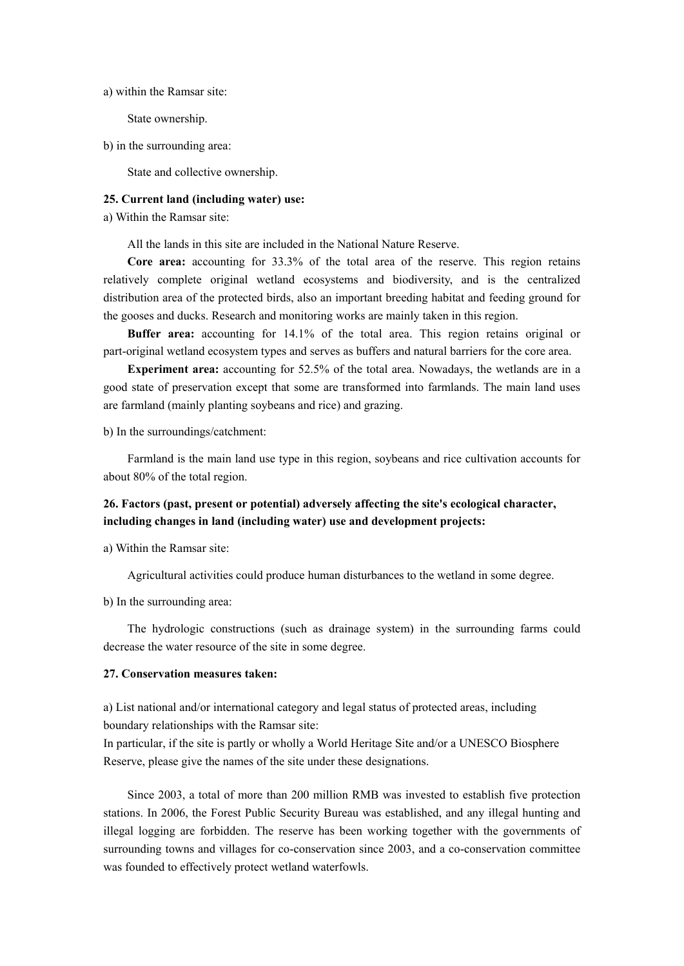a) within the Ramsar site:

State ownership.

b) in the surrounding area:

State and collective ownership.

## **25. Current land (including water) use:**

a) Within the Ramsar site:

All the lands in this site are included in the National Nature Reserve.

**Core area:** accounting for 33.3% of the total area of the reserve. This region retains relatively complete original wetland ecosystems and biodiversity, and is the centralized distribution area of the protected birds, also an important breeding habitat and feeding ground for the gooses and ducks. Research and monitoring works are mainly taken in this region.

**Buffer area:** accounting for 14.1% of the total area. This region retains original or part-original wetland ecosystem types and serves as buffers and natural barriers for the core area.

**Experiment area:** accounting for 52.5% of the total area. Nowadays, the wetlands are in a good state of preservation except that some are transformed into farmlands. The main land uses are farmland (mainly planting soybeans and rice) and grazing.

b) In the surroundings/catchment:

Farmland is the main land use type in this region, soybeans and rice cultivation accounts for about 80% of the total region.

# **26. Factors (past, present or potential) adversely affecting the site's ecological character, including changes in land (including water) use and development projects:**

a) Within the Ramsar site:

Agricultural activities could produce human disturbances to the wetland in some degree.

b) In the surrounding area:

The hydrologic constructions (such as drainage system) in the surrounding farms could decrease the water resource of the site in some degree.

## **27. Conservation measures taken:**

a) List national and/or international category and legal status of protected areas, including boundary relationships with the Ramsar site:

In particular, if the site is partly or wholly a World Heritage Site and/or a UNESCO Biosphere Reserve, please give the names of the site under these designations.

Since 2003, a total of more than 200 million RMB was invested to establish five protection stations. In 2006, the Forest Public Security Bureau was established, and any illegal hunting and illegal logging are forbidden. The reserve has been working together with the governments of surrounding towns and villages for co-conservation since 2003, and a co-conservation committee was founded to effectively protect wetland waterfowls.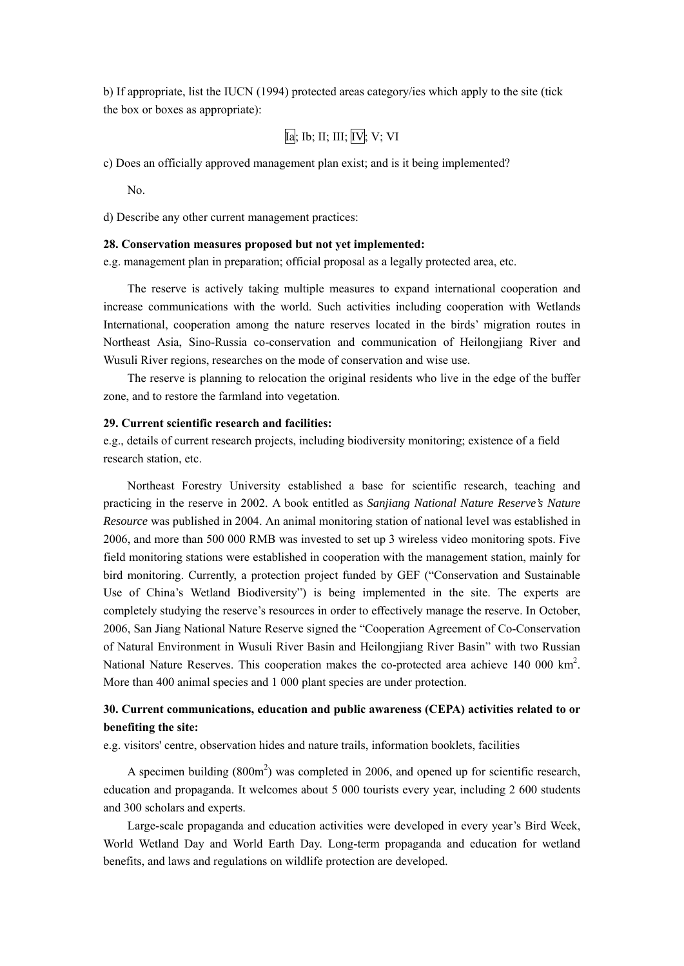b) If appropriate, list the IUCN (1994) protected areas category/ies which apply to the site (tick the box or boxes as appropriate):

$$
Ia; Ib; II; III; IV; V; VI
$$

c) Does an officially approved management plan exist; and is it being implemented?

No.

d) Describe any other current management practices:

#### **28. Conservation measures proposed but not yet implemented:**

e.g. management plan in preparation; official proposal as a legally protected area, etc.

The reserve is actively taking multiple measures to expand international cooperation and increase communications with the world. Such activities including cooperation with Wetlands International, cooperation among the nature reserves located in the birds' migration routes in Northeast Asia, Sino-Russia co-conservation and communication of Heilongjiang River and Wusuli River regions, researches on the mode of conservation and wise use.

The reserve is planning to relocation the original residents who live in the edge of the buffer zone, and to restore the farmland into vegetation.

## **29. Current scientific research and facilities:**

e.g., details of current research projects, including biodiversity monitoring; existence of a field research station, etc.

Northeast Forestry University established a base for scientific research, teaching and practicing in the reserve in 2002. A book entitled as *Sanjiang National Nature Reserve's Nature Resource* was published in 2004. An animal monitoring station of national level was established in 2006, and more than 500 000 RMB was invested to set up 3 wireless video monitoring spots. Five field monitoring stations were established in cooperation with the management station, mainly for bird monitoring. Currently, a protection project funded by GEF ("Conservation and Sustainable Use of China's Wetland Biodiversity") is being implemented in the site. The experts are completely studying the reserve's resources in order to effectively manage the reserve. In October, 2006, San Jiang National Nature Reserve signed the "Cooperation Agreement of Co-Conservation of Natural Environment in Wusuli River Basin and Heilongjiang River Basin" with two Russian National Nature Reserves. This cooperation makes the co-protected area achieve 140 000 km<sup>2</sup>. More than 400 animal species and 1 000 plant species are under protection.

# **30. Current communications, education and public awareness (CEPA) activities related to or benefiting the site:**

e.g. visitors' centre, observation hides and nature trails, information booklets, facilities

A specimen building  $(800 \text{m}^2)$  was completed in 2006, and opened up for scientific research, education and propaganda. It welcomes about 5 000 tourists every year, including 2 600 students and 300 scholars and experts.

Large-scale propaganda and education activities were developed in every year's Bird Week, World Wetland Day and World Earth Day. Long-term propaganda and education for wetland benefits, and laws and regulations on wildlife protection are developed.